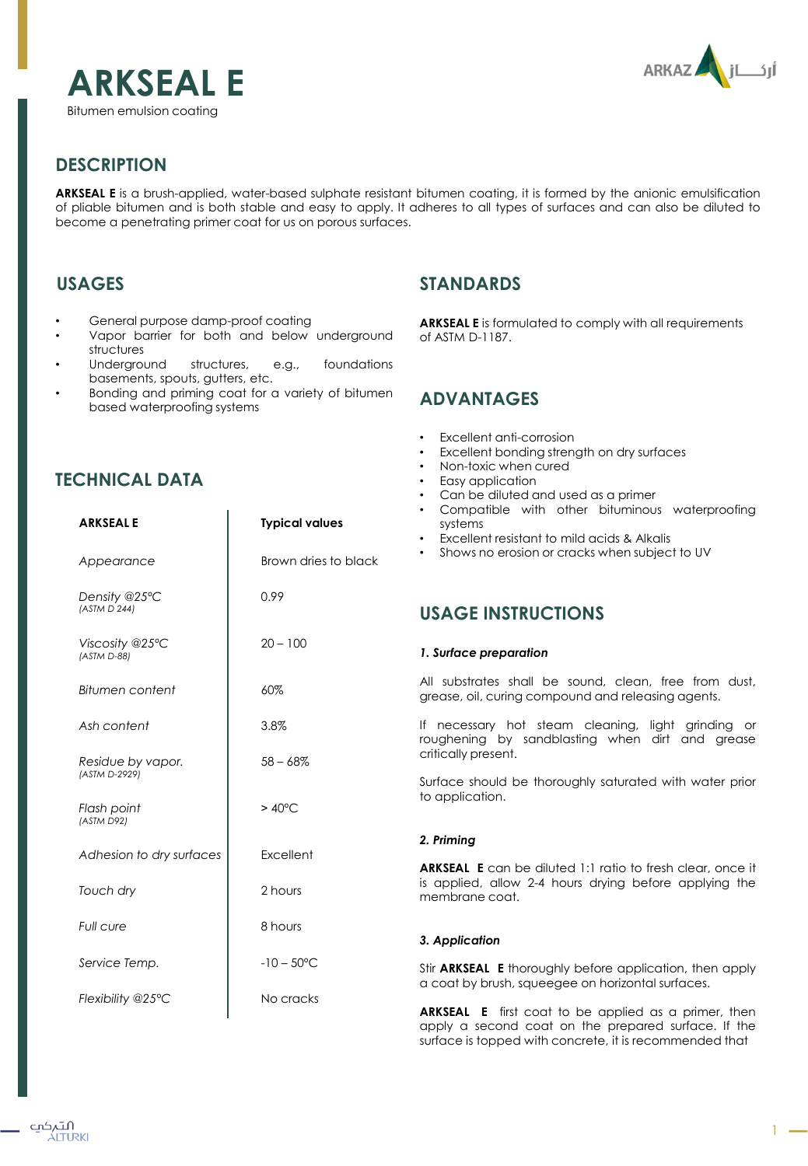



# **DESCRIPTION**

**ARKSEAL E** is a brush-applied, water-based sulphate resistant bitumen coating, it is formed by the anionic emulsification of pliable bitumen and is both stable and easy to apply. It adheres to all types of surfaces and can also be diluted to become a penetrating primer coat for us on porous surfaces.

## **USAGES**

- General purpose damp-proof coating
- Vapor barrier for both and below underground structures
- Underground structures, e.g., foundations basements, spouts, gutters, etc.
- Bonding and priming coat for a variety of bitumen based waterproofing systems

# **TECHNICAL DATA**

| <b>ARKSEALE</b>                    | <b>Typical values</b> |                      |
|------------------------------------|-----------------------|----------------------|
| Appearance                         | Brown dries to black  |                      |
| Density @25°C<br>(ASTM D 244)      | 0.99                  | U                    |
| Viscosity @25°C<br>(ASTM D-88)     | $20 - 100$            | 1.                   |
| Bitumen content                    | 60%                   | $\overline{A}$<br>gr |
| Ash content                        | 3.8%                  | ١f<br>ro             |
| Residue by vapor.<br>(ASTM D-2929) | $58 - 68%$            | cr<br>SL             |
| Flash point<br>(ASTM D92)          | $>40^{\circ}$ C       | to                   |
| Adhesion to dry surfaces           | Excellent             | 2.<br>AI             |
| Touch dry                          | 2 hours               | is<br>m              |
| Full cure                          | 8 hours               | 3.                   |
| Service Temp.                      | $-10 - 50^{\circ}$ C  | Sti                  |
| Flexibility @25°C                  | No cracks             | a<br>A               |

## **STANDARDS**

**ARKSEAL E** is formulated to comply with all requirements of ASTM D-1187.

## **ADVANTAGES**

- Excellent anti-corrosion
- Excellent bonding strength on dry surfaces
- Non-toxic when cured
- Easy application
- Can be diluted and used as a primer
- Compatible with other bituminous waterproofing systems
- Excellent resistant to mild acids & Alkalis
- Shows no erosion or cracks when subject to UV

# **SAGE INSTRUCTIONS**

### *1. Surface preparation*

Il substrates shall be sound, clean, free from dust, rease, oil, curing compound and releasing agents.

necessary hot steam cleaning, light grinding or ughening by sandblasting when dirt and grease itically present.

vrface should be thoroughly saturated with water prior application.

### *2. Priming*

**ARKSEAL E** can be diluted 1:1 ratio to fresh clear, once it applied, allow 2-4 hours drying before applying the membrane coat.

### *3. Application*

ir **ARKSEAL E** thoroughly before application, then apply coat by brush, squeegee on horizontal surfaces.

**ARKSEAL E** first coat to be applied as a primer, then apply a second coat on the prepared surface. If the surface is topped with concrete, it is recommended that